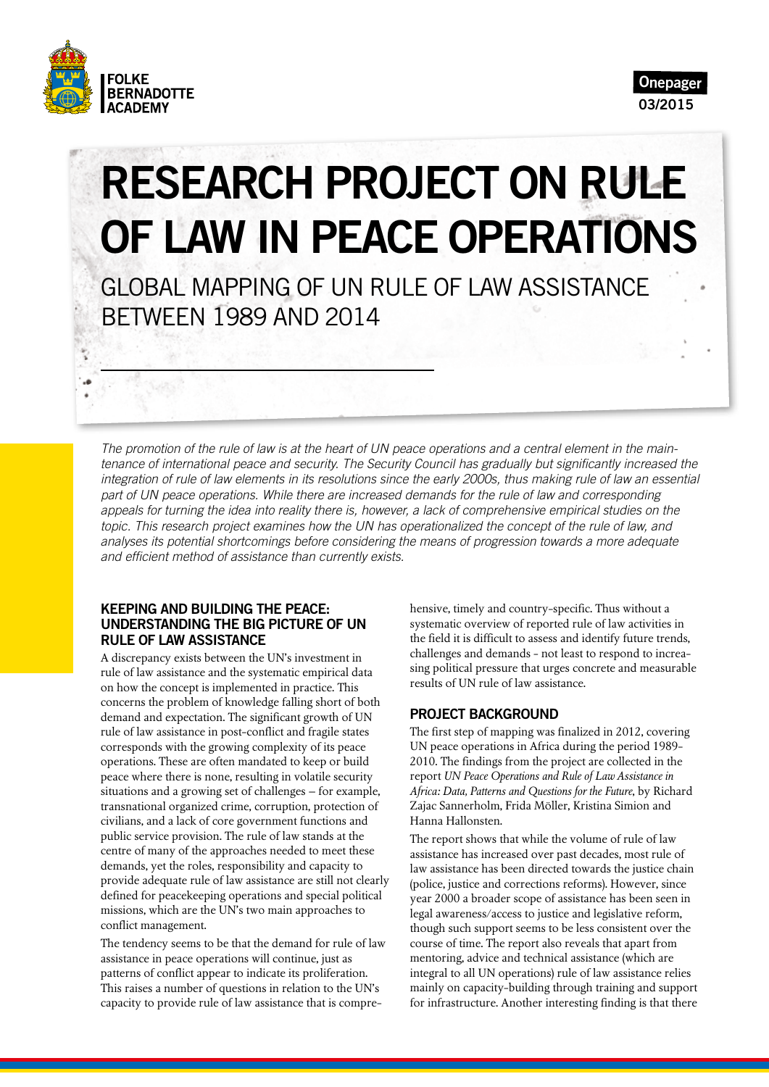



# RESEARCH PROJECT ON RULE OF LAW IN PEACE OPERATIONS

GLOBAL MAPPING OF UN RULE OF LAW ASSISTANCE BETWEEN 1989 AND 2014

*The promotion of the rule of law is at the heart of UN peace operations and a central element in the main*tenance of international peace and security. The Security Council has gradually but significantly increased the *integration of rule of law elements in its resolutions since the early 2000s, thus making rule of law an essential part of UN peace operations. While there are increased demands for the rule of law and corresponding appeals for turning the idea into reality there is, however, a lack of comprehensive empirical studies on the topic. This research project examines how the UN has operationalized the concept of the rule of law, and analyses its potential shortcomings before considering the means of progression towards a more adequate*  and efficient method of assistance than currently exists.

#### KEEPING AND BUILDING THE PEACE: UNDERSTANDING THE BIG PICTURE OF UN RULE OF LAW ASSISTANCE

A discrepancy exists between the UN's investment in rule of law assistance and the systematic empirical data on how the concept is implemented in practice. This concerns the problem of knowledge falling short of both demand and expectation. The significant growth of UN rule of law assistance in post-conflict and fragile states corresponds with the growing complexity of its peace operations. These are often mandated to keep or build peace where there is none, resulting in volatile security situations and a growing set of challenges – for example, transnational organized crime, corruption, protection of civilians, and a lack of core government functions and public service provision. The rule of law stands at the centre of many of the approaches needed to meet these demands, yet the roles, responsibility and capacity to provide adequate rule of law assistance are still not clearly defined for peacekeeping operations and special political missions, which are the UN's two main approaches to conflict management.

The tendency seems to be that the demand for rule of law assistance in peace operations will continue, just as patterns of conflict appear to indicate its proliferation. This raises a number of questions in relation to the UN's capacity to provide rule of law assistance that is comprehensive, timely and country-specific. Thus without a systematic overview of reported rule of law activities in the field it is difficult to assess and identify future trends, challenges and demands - not least to respond to increasing political pressure that urges concrete and measurable results of UN rule of law assistance.

#### PROJECT BACKGROUND

The first step of mapping was finalized in 2012, covering UN peace operations in Africa during the period 1989- 2010. The findings from the project are collected in the report *UN Peace Operations and Rule of Law Assistance in Africa: Data, Patterns and Questions for the Future*, by Richard Zajac Sannerholm, Frida Möller, Kristina Simion and Hanna Hallonsten.

The report shows that while the volume of rule of law assistance has increased over past decades, most rule of law assistance has been directed towards the justice chain (police, justice and corrections reforms). However, since year 2000 a broader scope of assistance has been seen in legal awareness/access to justice and legislative reform, though such support seems to be less consistent over the course of time. The report also reveals that apart from mentoring, advice and technical assistance (which are integral to all UN operations) rule of law assistance relies mainly on capacity-building through training and support for infrastructure. Another interesting finding is that there